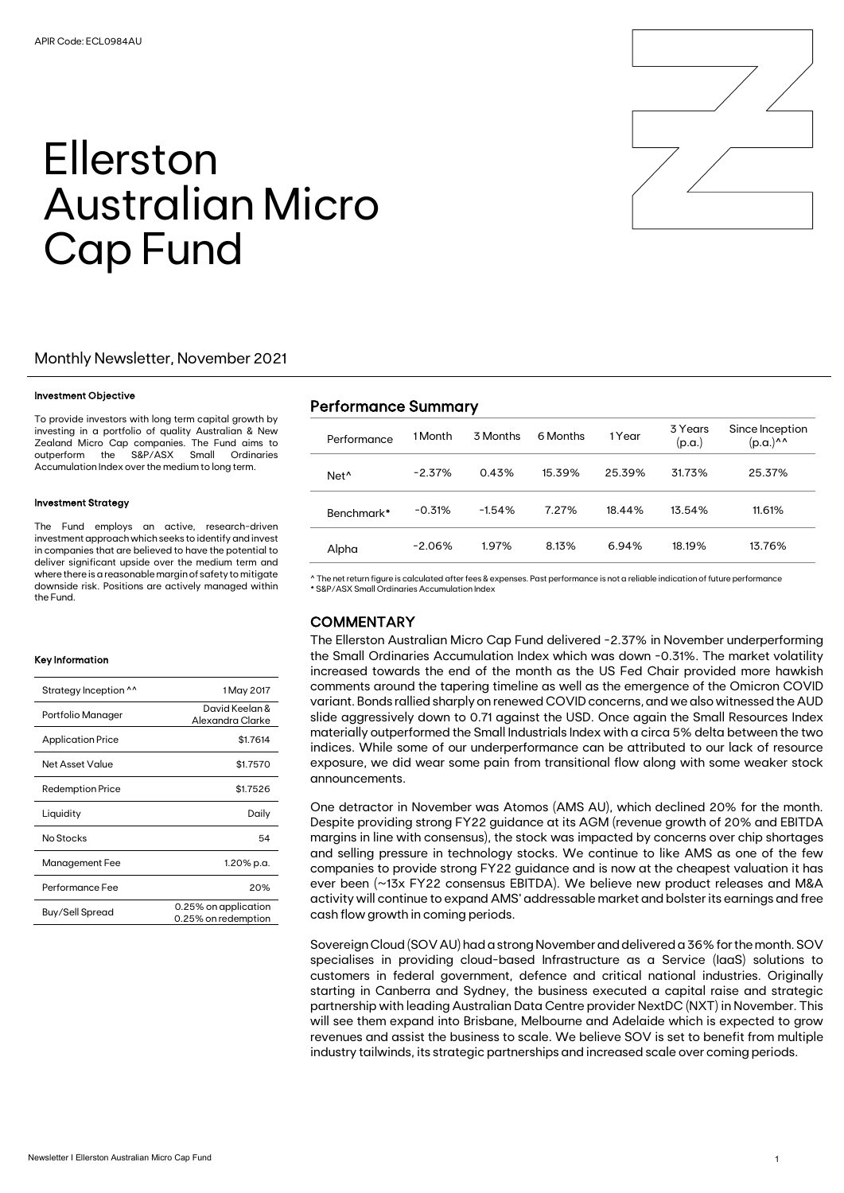# Ellerston Australian Micro Cap Fund

# Monthly Newsletter, November 2021

## Investment Objective

To provide investors with long term capital growth by investing in a portfolio of quality Australian & New Zealand Micro Cap companies. The Fund aims to outperform the S&P/ASX Small Ordinaries Accumulation Index over the medium to long term.

### Investment Strategy

The Fund employs an active, research-driven investment approach which seeks to identify and invest in companies that are believed to have the potential to deliver significant upside over the medium term and where there is a reasonable margin of safety to mitigate downside risk. Positions are actively managed within the Fund.

### Key Information

| Strategy Inception ^^    | 1 May 2017                                  |
|--------------------------|---------------------------------------------|
| Portfolio Manager        | David Keelan &<br>Alexandra Clarke          |
| <b>Application Price</b> | \$1.7614                                    |
| Net Asset Value          | \$1.7570                                    |
| <b>Redemption Price</b>  | \$1.7526                                    |
| Liquidity                | Daily                                       |
| No Stocks                | 54                                          |
| Management Fee           | 1.20% p.a.                                  |
| Performance Fee          | 20%                                         |
| Buy/Sell Spread          | 0.25% on application<br>0.25% on redemption |

# Performance Summary

| Performance      | 1 Month   | 3 Months | 6 Months | 1 Year | 3 Years<br>(p.a.) | Since Inception<br>(p.a.)^^ |
|------------------|-----------|----------|----------|--------|-------------------|-----------------------------|
| Net <sup>^</sup> | $-2.37\%$ | 0.43%    | 15.39%   | 25.39% | 31.73%            | 25.37%                      |
| Benchmark*       | $-0.31%$  | $-1.54%$ | 7.27%    | 18.44% | 13.54%            | 11.61%                      |
| Alpha            | $-2.06%$  | 1.97%    | 8.13%    | 6.94%  | 18.19%            | 13.76%                      |

^ The net return figure is calculated after fees & expenses. Past performance is not a reliable indication of future performance \* S&P/ASX Small Ordinaries Accumulation Index

## **COMMENTARY**

The Ellerston Australian Micro Cap Fund delivered -2.37% in November underperforming the Small Ordinaries Accumulation Index which was down -0.31%. The market volatility increased towards the end of the month as the US Fed Chair provided more hawkish comments around the tapering timeline as well as the emergence of the Omicron COVID variant. Bonds rallied sharply on renewed COVIDconcerns, and we also witnessed the AUD slide aggressively down to 0.71 against the USD. Once again the Small Resources Index materially outperformed the Small Industrials Index with a circa 5% delta between the two indices. While some of our underperformance can be attributed to our lack of resource exposure, we did wear some pain from transitional flow along with some weaker stock announcements.

One detractor in November was Atomos (AMS AU), which declined 20% for the month. Despite providing strong FY22 guidance at its AGM (revenue growth of 20% and EBITDA margins in line with consensus), the stock was impacted by concerns over chip shortages and selling pressure in technology stocks. We continue to like AMS as one of the few companies to provide strong FY22 guidance and is now at the cheapest valuation it has ever been (~13x FY22 consensus EBITDA). We believe new product releases and M&A activity will continue to expand AMS' addressable market and bolster its earnings and free cash flow growth in coming periods.

Sovereign Cloud (SOV AU) had a strong November and delivered a 36% for the month. SOV specialises in providing cloud-based Infrastructure as a Service (IaaS) solutions to customers in federal government, defence and critical national industries. Originally starting in Canberra and Sydney, the business executed a capital raise and strategic partnership with leading Australian Data Centre provider NextDC (NXT) in November. This will see them expand into Brisbane, Melbourne and Adelaide which is expected to grow revenues and assist the business to scale. We believe SOV is set to benefit from multiple industry tailwinds, its strategic partnerships and increased scale over coming periods.